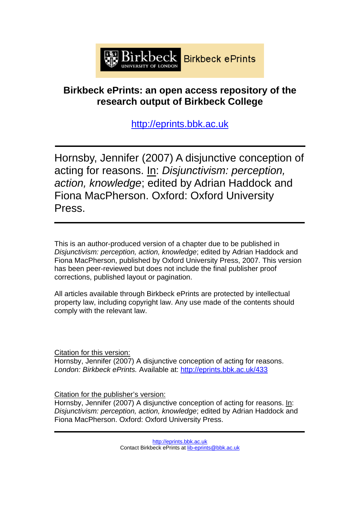

## **Birkbeck ePrints: an open access repository of the research output of Birkbeck College**

[http://eprints.bbk.ac.uk](http://eprints.bbk.ac.uk/)

Hornsby, Jennifer (2007) A disjunctive conception of acting for reasons. In: *Disjunctivism: perception, action, knowledge*; edited by Adrian Haddock and Fiona MacPherson. Oxford: Oxford University Press.

This is an author-produced version of a chapter due to be published in *Disjunctivism: perception, action, knowledge*; edited by Adrian Haddock and Fiona MacPherson, published by Oxford University Press, 2007. This version has been peer-reviewed but does not include the final publisher proof corrections, published layout or pagination.

All articles available through Birkbeck ePrints are protected by intellectual property law, including copyright law. Any use made of the contents should comply with the relevant law.

Citation for this version: Hornsby, Jennifer (2007) A disjunctive conception of acting for reasons. *London: Birkbeck ePrints.* Available at: <http://eprints.bbk.ac.uk/433>

Citation for the publisher's version:

Hornsby, Jennifer (2007) A disjunctive conception of acting for reasons. In: *Disjunctivism: perception, action, knowledge*; edited by Adrian Haddock and Fiona MacPherson. Oxford: Oxford University Press.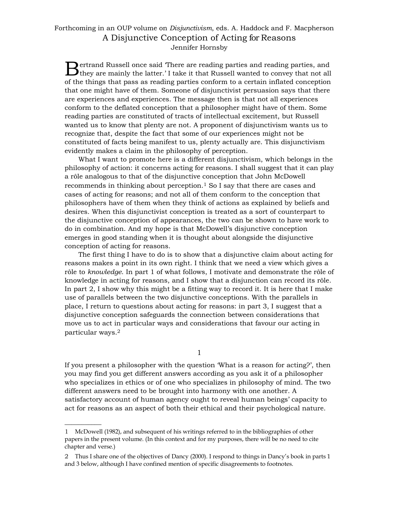## Forthcoming in an OUP volume on Disjunctivism, eds. A. Haddock and F. Macpherson A Disjunctive Conception of Acting for Reasons Jennifer Hornsby

Bertrand Russell once said There are reading parties and reading parties, and they are mainly the latter.' I take it that Russell wanted to convey that not all  $\bm{\mathcal{Y}}$ they are mainly the latter.' I take it that Russell wanted to convey that not all of the things that pass as reading parties conform to a certain inflated conception that one might have of them. Someone of disjunctivist persuasion says that there are experiences and experiences. The message then is that not all experiences conform to the deflated conception that a philosopher might have of them. Some reading parties are constituted of tracts of intellectual excitement, but Russell wanted us to know that plenty are not. A proponent of disjunctivism wants us to recognize that, despite the fact that some of our experiences might not be constituted of facts being manifest to us, plenty actually are. This disjunctivism evidently makes a claim in the philosophy of perception.

What I want to promote here is a different disjunctivism, which belongs in the philosophy of action: it concerns acting for reasons. I shall suggest that it can play a rôle analogous to that of the disjunctive conception that John McDowell recommends in thinking about perception.<sup>1</sup> So I say that there are cases and cases of acting for reasons; and not all of them conform to the conception that philosophers have of them when they think of actions as explained by beliefs and desires. When this disjunctivist conception is treated as a sort of counterpart to the disjunctive conception of appearances, the two can be shown to have work to do in combination. And my hope is that McDowell's disjunctive conception emerges in good standing when it is thought about alongside the disjunctive conception of acting for reasons.

The first thing I have to do is to show that a disjunctive claim about acting for reasons makes a point in its own right. I think that we need a view which gives a rôle to knowledge. In part 1 of what follows, I motivate and demonstrate the rôle of knowledge in acting for reasons, and I show that a disjunction can record its rôle. In part 2, I show why this might be a fitting way to record it. It is here that I make use of parallels between the two disjunctive conceptions. With the parallels in place, I return to questions about acting for reasons: in part 3, I suggest that a disjunctive conception safeguards the connection between considerations that move us to act in particular ways and considerations that favour our acting in particular ways.<sup>2</sup>

1

If you present a philosopher with the question 'What is a reason for acting?', then you may find you get different answers according as you ask it of a philosopher who specializes in ethics or of one who specializes in philosophy of mind. The two different answers need to be brought into harmony with one another. A satisfactory account of human agency ought to reveal human beings' capacity to act for reasons as an aspect of both their ethical and their psychological nature.

 $\overline{\phantom{a}}$ 

<sup>1</sup> McDowell (1982), and subsequent of his writings referred to in the bibliographies of other papers in the present volume. (In this context and for my purposes, there will be no need to cite chapter and verse.)

<sup>2</sup> Thus I share one of the objectives of Dancy (2000). I respond to things in Dancy's book in parts 1 and 3 below, although I have confined mention of specific disagreements to footnotes.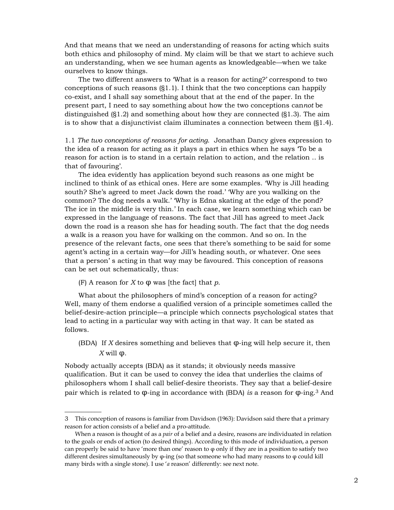And that means that we need an understanding of reasons for acting which suits both ethics and philosophy of mind. My claim will be that we start to achieve such an understanding, when we see human agents as knowledgeable—when we take ourselves to know things.

The two different answers to 'What is a reason for acting?' correspond to two conceptions of such reasons  $(§1.1)$ . I think that the two conceptions can happily co-exist, and I shall say something about that at the end of the paper. In the present part, I need to say something about how the two conceptions cannot be distinguished (§1.2) and something about how they are connected (§1.3). The aim is to show that a disjunctivist claim illuminates a connection between them (§1.4).

1.1 The two conceptions of reasons for acting. Jonathan Dancy gives expression to the idea of a reason for acting as it plays a part in ethics when he says 'To be a reason for action is to stand in a certain relation to action, and the relation .. is that of favouring'.

The idea evidently has application beyond such reasons as one might be inclined to think of as ethical ones. Here are some examples. 'Why is Jill heading south? She's agreed to meet Jack down the road.' 'Why are you walking on the common? The dog needs a walk.' 'Why is Edna skating at the edge of the pond? The ice in the middle is very thin.' In each case, we learn something which can be expressed in the language of reasons. The fact that Jill has agreed to meet Jack down the road is a reason she has for heading south. The fact that the dog needs a walk is a reason you have for walking on the common. And so on. In the presence of the relevant facts, one sees that there's something to be said for some agent's acting in a certain way—for Jill's heading south, or whatever. One sees that a person' s acting in that way may be favoured. This conception of reasons can be set out schematically, thus:

(F) A reason for X to  $\varphi$  was [the fact] that p.

 $\overline{\phantom{a}}$  , where  $\overline{\phantom{a}}$ 

What about the philosophers of mind's conception of a reason for acting? Well, many of them endorse a qualified version of a principle sometimes called the belief-desire-action principle—a principle which connects psychological states that lead to acting in a particular way with acting in that way. It can be stated as follows.

(BDA) If X desires something and believes that  $\varphi$ -ing will help secure it, then  $X$  will  $\phi$ .

Nobody actually accepts (BDA) as it stands; it obviously needs massive qualification. But it can be used to convey the idea that underlies the claims of philosophers whom I shall call belief-desire theorists. They say that a belief-desire pair which is related to  $\varphi$ -ing in accordance with (BDA) is a reason for  $\varphi$ -ing.<sup>3</sup> And

<sup>3</sup> This conception of reasons is familiar from Davidson (1963): Davidson said there that a primary reason for action consists of a belief and a pro-attitude.

When a reason is thought of as a *pair* of a belief and a desire, reasons are individuated in relation to the goals or ends of action (to desired things). According to this mode of individuation, a person can properly be said to have 'more than one' reason to  $\varphi$  only if they are in a position to satisfy two different desires simultaneously by  $\varphi$ -ing (so that someone who had many reasons to  $\varphi$  could kill many birds with a single stone). I use 'a reason' differently: see next note.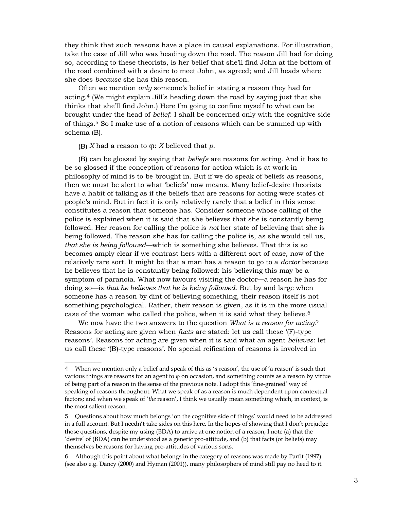they think that such reasons have a place in causal explanations. For illustration, take the case of Jill who was heading down the road. The reason Jill had for doing so, according to these theorists, is her belief that she'll find John at the bottom of the road combined with a desire to meet John, as agreed; and Jill heads where she does because she has this reason.

Often we mention only someone's belief in stating a reason they had for acting.4 (We might explain Jill's heading down the road by saying just that she thinks that she'll find John.) Here I'm going to confine myself to what can be brought under the head of belief: I shall be concerned only with the cognitive side of things.5 So I make use of a notion of reasons which can be summed up with schema (B).

(B) X had a reason to  $\varphi$ : X believed that p.

 $\overline{\phantom{a}}$  , where  $\overline{\phantom{a}}$ 

(B) can be glossed by saying that beliefs are reasons for acting. And it has to be so glossed if the conception of reasons for action which is at work in philosophy of mind is to be brought in. But if we do speak of beliefs as reasons, then we must be alert to what 'beliefs' now means. Many belief-desire theorists have a habit of talking as if the beliefs that are reasons for acting were states of people's mind. But in fact it is only relatively rarely that a belief in this sense constitutes a reason that someone has. Consider someone whose calling of the police is explained when it is said that she believes that she is constantly being followed. Her reason for calling the police is not her state of believing that she is being followed. The reason she has for calling the police is, as she would tell us, that she is being followed—which is something she believes. That this is so becomes amply clear if we contrast hers with a different sort of case, now of the relatively rare sort. It might be that a man has a reason to go to a doctor because he believes that he is constantly being followed: his believing this may be a symptom of paranoia. What now favours visiting the doctor—a reason he has for doing so—is that he believes that he is being followed. But by and large when someone has a reason by dint of believing something, their reason itself is not something psychological. Rather, their reason is given, as it is in the more usual case of the woman who called the police, when it is said what they believe.<sup>6</sup>

We now have the two answers to the question What is a reason for acting? Reasons for acting are given when facts are stated: let us call these '(F)-type reasons'. Reasons for acting are given when it is said what an agent believes: let us call these '(B)-type reasons'. No special reification of reasons is involved in

<sup>4</sup> When we mention only a belief and speak of this as 'a reason', the use of 'a reason' is such that various things are reasons for an agent to φ on occasion, and something counts as a reason by virtue of being part of a reason in the sense of the previous note. I adopt this 'fine-grained' way of speaking of reasons throughout. What we speak of as a reason is much dependent upon contextual factors; and when we speak of 'the reason', I think we usually mean something which, in context, is the most salient reason.

<sup>5</sup> Questions about how much belongs 'on the cognitive side of things' would need to be addressed in a full account. But I needn't take sides on this here. In the hopes of showing that I don't prejudge those questions, despite my using (BDA) to arrive at one notion of a reason, I note (a) that the 'desire' of (BDA) can be understood as a generic pro-attitude, and (b) that facts (or beliefs) may themselves be reasons for having pro-attitudes of various sorts.

<sup>6</sup> Although this point about what belongs in the category of reasons was made by Parfit (1997) (see also e.g. Dancy (2000) and Hyman (2001)), many philosophers of mind still pay no heed to it.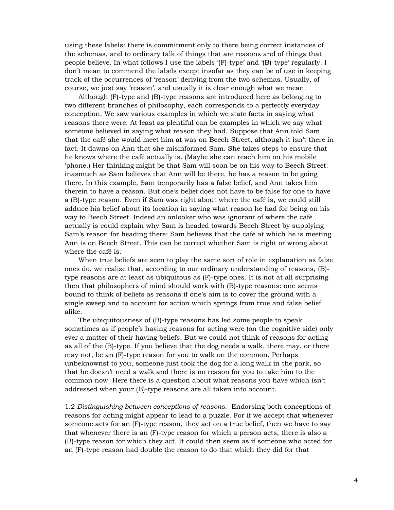using these labels: there is commitment only to there being correct instances of the schemas, and to ordinary talk of things that are reasons and of things that people believe. In what follows I use the labels '(F)-type' and '(B)-type' regularly. I don't mean to commend the labels except insofar as they can be of use in keeping track of the occurrences of 'reason' deriving from the two schemas. Usually, of course, we just say 'reason', and usually it is clear enough what we mean.

Although (F)-type and (B)-type reasons are introduced here as belonging to two different branches of philosophy, each corresponds to a perfectly everyday conception. We saw various examples in which we state facts in saying what reasons there were. At least as plentiful can be examples in which we say what someone believed in saying what reason they had. Suppose that Ann told Sam that the café she would meet him at was on Beech Street, although it isn't there in fact. It dawns on Ann that she misinformed Sam. She takes steps to ensure that he knows where the café actually is. (Maybe she can reach him on his mobile 'phone.) Her thinking might be that Sam will soon be on his way to Beech Street: inasmuch as Sam believes that Ann will be there, he has a reason to be going there. In this example, Sam temporarily has a false belief, and Ann takes him therein to have a reason. But one's belief does not have to be false for one to have a (B)-type reason. Even if Sam was right about where the café is, we could still adduce his belief about its location in saying what reason he had for being on his way to Beech Street. Indeed an onlooker who was ignorant of where the café actually is could explain why Sam is headed towards Beech Street by supplying Sam's reason for heading there: Sam believes that the café at which he is meeting Ann is on Beech Street. This can be correct whether Sam is right or wrong about where the café is.

When true beliefs are seen to play the same sort of rôle in explanation as false ones do, we realize that, according to our ordinary understanding of reasons, (B) type reasons are at least as ubiquitous as (F)-type ones. It is not at all surprising then that philosophers of mind should work with (B)-type reasons: one seems bound to think of beliefs as reasons if one's aim is to cover the ground with a single sweep and to account for action which springs from true and false belief alike.

The ubiquitousness of (B)-type reasons has led some people to speak sometimes as if people's having reasons for acting were (on the cognitive side) only ever a matter of their having beliefs. But we could not think of reasons for acting as all of the (B)-type. If you believe that the dog needs a walk, there may, or there may not, be an (F)-type reason for you to walk on the common. Perhaps unbeknownst to you, someone just took the dog for a long walk in the park, so that he doesn't need a walk and there is no reason for you to take him to the common now. Here there is a question about what reasons you have which isn't addressed when your (B)-type reasons are all taken into account.

1.2 Distinguishing between conceptions of reasons. Endorsing both conceptions of reasons for acting might appear to lead to a puzzle. For if we accept that whenever someone acts for an (F)-type reason, they act on a true belief, then we have to say that whenever there is an (F)-type reason for which a person acts, there is also a (B)-type reason for which they act. It could then seem as if someone who acted for an (F)-type reason had double the reason to do that which they did for that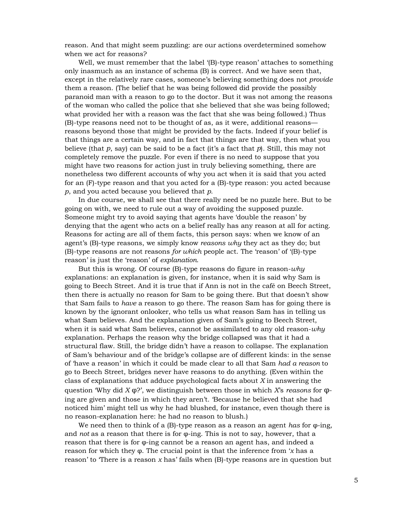reason. And that might seem puzzling: are our actions overdetermined somehow when we act for reasons?

Well, we must remember that the label '(B)-type reason' attaches to something only inasmuch as an instance of schema (B) is correct. And we have seen that, except in the relatively rare cases, someone's believing something does not *provide* them a reason. (The belief that he was being followed did provide the possibly paranoid man with a reason to go to the doctor. But it was not among the reasons of the woman who called the police that she believed that she was being followed; what provided her with a reason was the fact that she was being followed.) Thus (B)-type reasons need not to be thought of as, as it were, additional reasons reasons beyond those that might be provided by the facts. Indeed if your belief is that things are a certain way, and in fact that things are that way, then what you believe (that p, say) can be said to be a fact (it's a fact that  $p$ ). Still, this may not completely remove the puzzle. For even if there is no need to suppose that you might have two reasons for action just in truly believing something, there are nonetheless two different accounts of why you act when it is said that you acted for an (F)-type reason and that you acted for a (B)-type reason: you acted because p, and you acted because you believed that p.

In due course, we shall see that there really need be no puzzle here. But to be going on with, we need to rule out a way of avoiding the supposed puzzle. Someone might try to avoid saying that agents have 'double the reason' by denying that the agent who acts on a belief really has any reason at all for acting. Reasons for acting are all of them facts, this person says: when we know of an agent's (B)-type reasons, we simply know reasons why they act as they do; but (B)-type reasons are not reasons for which people act. The 'reason' of '(B)-type reason' is just the 'reason' of *explanation*.

But this is wrong. Of course  $(B)$ -type reasons do figure in reason- $why$ explanations: an explanation is given, for instance, when it is said why Sam is going to Beech Street. And it is true that if Ann is not in the café on Beech Street, then there is actually no reason for Sam to be going there. But that doesn't show that Sam fails to have a reason to go there. The reason Sam has for going there is known by the ignorant onlooker, who tells us what reason Sam has in telling us what Sam believes. And the explanation given of Sam's going to Beech Street, when it is said what Sam believes, cannot be assimilated to any old reason- $why$ explanation. Perhaps the reason why the bridge collapsed was that it had a structural flaw. Still, the bridge didn't have a reason to collapse. The explanation of Sam's behaviour and of the bridge's collapse are of different kinds: in the sense of 'have a reason' in which it could be made clear to all that Sam had a reason to go to Beech Street, bridges never have reasons to do anything. (Even within the class of explanations that adduce psychological facts about X in answering the question 'Why did  $X \varphi$ ?', we distinguish between those in which X's reasons for  $\varphi$ ing are given and those in which they aren't. 'Because he believed that she had noticed him' might tell us why he had blushed, for instance, even though there is no reason-explanation here: he had no reason to blush.)

We need then to think of a  $(B)$ -type reason as a reason an agent has for  $\varphi$ -ing, and not as a reason that there is for  $\varphi$ -ing. This is not to say, however, that a reason that there is for φ-ing cannot be a reason an agent has, and indeed a reason for which they  $\varphi$ . The crucial point is that the inference from 'x has a reason' to 'There is a reason x has' fails when  $(B)$ -type reasons are in question but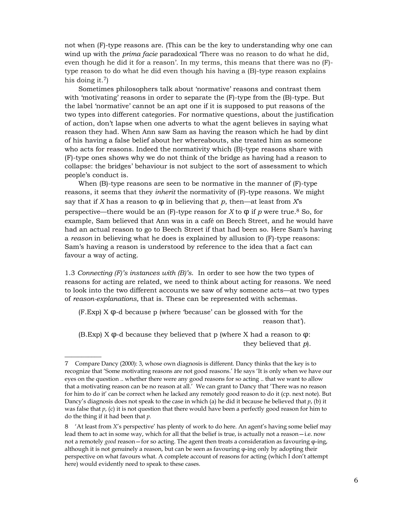not when (F)-type reasons are. (This can be the key to understanding why one can wind up with the prima facie paradoxical 'There was no reason to do what he did, even though he did it for a reason'. In my terms, this means that there was no (F) type reason to do what he did even though his having a (B)-type reason explains his doing it.<sup>7</sup>)

Sometimes philosophers talk about 'normative' reasons and contrast them with 'motivating' reasons in order to separate the (F)-type from the (B)-type. But the label 'normative' cannot be an apt one if it is supposed to put reasons of the two types into different categories. For normative questions, about the justification of action, don't lapse when one adverts to what the agent believes in saying what reason they had. When Ann saw Sam as having the reason which he had by dint of his having a false belief about her whereabouts, she treated him as someone who acts for reasons. Indeed the normativity which (B)-type reasons share with (F)-type ones shows why we do not think of the bridge as having had a reason to collapse: the bridges' behaviour is not subject to the sort of assessment to which people's conduct is.

When (B)-type reasons are seen to be normative in the manner of (F)-type reasons, it seems that they inherit the normativity of (F)-type reasons. We might say that if X has a reason to  $\varphi$  in believing that p, then—at least from X's perspective—there would be an (F)-type reason for X to  $\varphi$  if p were true.<sup>8</sup> So, for example, Sam believed that Ann was in a café on Beech Street, and he would have had an actual reason to go to Beech Street if that had been so. Here Sam's having a reason in believing what he does is explained by allusion to (F)-type reasons: Sam's having a reason is understood by reference to the idea that a fact can favour a way of acting.

1.3 Connecting  $(F)$ 's instances with  $(B)$ 's. In order to see how the two types of reasons for acting are related, we need to think about acting for reasons. We need to look into the two different accounts we saw of why someone acts—at two types of reason-explanations, that is. These can be represented with schemas.

(F.Exp) X φ-d because p (where 'because' can be glossed with 'for the reason that').

(B.Exp)  $X \varphi$ -d because they believed that p (where X had a reason to  $\varphi$ : they believed that p).

<sup>7</sup> Compare Dancy (2000): 3, whose own diagnosis is different. Dancy thinks that the key is to recognize that 'Some motivating reasons are not good reasons.' He says 'It is only when we have our eyes on the question .. whether there were any good reasons for so acting .. that we want to allow that a motivating reason can be no reason at all.' We can grant to Dancy that 'There was no reason for him to do it' can be correct when he lacked any remotely good reason to do it (cp. next note). But Dancy's diagnosis does not speak to the case in which (a) he did it because he believed that  $p_i$  (b) it was false that  $p$ , (c) it is not question that there would have been a perfectly good reason for him to do the thing if it had been that  $p$ .

<sup>8</sup> 'At least from X's perspective' has plenty of work to do here. An agent's having some belief may lead them to act in some way, which for all that the belief is true, is actually not a reason-i.e. now not a remotely *good* reason—for so acting. The agent then treats a consideration as favouring φ-ing, although it is not genuinely a reason, but can be seen as favouring φ-ing only by adopting their perspective on what favours what. A complete account of reasons for acting (which I don't attempt here) would evidently need to speak to these cases.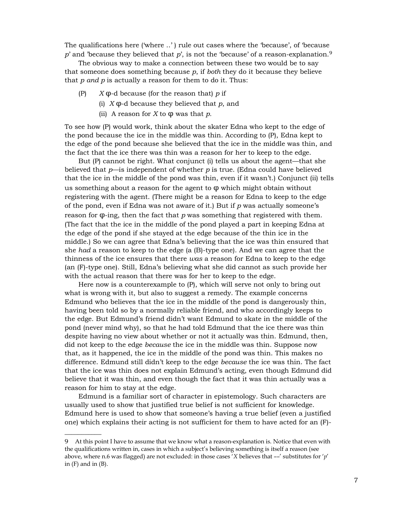The qualifications here ('where ..' ) rule out cases where the 'because', of 'because  $p'$  and 'because they believed that  $p'$ , is not the 'because' of a reason-explanation.<sup>9</sup>

The obvious way to make a connection between these two would be to say that someone does something because  $p$ , if both they do it because they believe that  $p$  and  $p$  is actually a reason for them to do it. Thus:

- (P)  $X \varphi$ -d because (for the reason that) p if
	- (i)  $X \varphi$ -d because they believed that p, and
	- (ii) A reason for X to  $\varphi$  was that p.

To see how (P) would work, think about the skater Edna who kept to the edge of the pond because the ice in the middle was thin. According to (P), Edna kept to the edge of the pond because she believed that the ice in the middle was thin, and the fact that the ice there was thin was a reason for her to keep to the edge.

But (P) cannot be right. What conjunct (i) tells us about the agent—that she believed that  $p$ —is independent of whether  $p$  is true. (Edna could have believed that the ice in the middle of the pond was thin, even if it wasn't.) Conjunct (ii) tells us something about a reason for the agent to  $\varphi$  which might obtain without registering with the agent. (There might be a reason for Edna to keep to the edge of the pond, even if Edna was not aware of it.) But if  $p$  was actually someone's reason for  $\varphi$ -ing, then the fact that p was something that registered with them. (The fact that the ice in the middle of the pond played a part in keeping Edna at the edge of the pond if she stayed at the edge because of the thin ice in the middle.) So we can agree that Edna's believing that the ice was thin ensured that she had a reason to keep to the edge (a (B)-type one). And we can agree that the thinness of the ice ensures that there was a reason for Edna to keep to the edge (an (F)-type one). Still, Edna's believing what she did cannot as such provide her with the actual reason that there was for her to keep to the edge.

Here now is a counterexample to (P), which will serve not only to bring out what is wrong with it, but also to suggest a remedy. The example concerns Edmund who believes that the ice in the middle of the pond is dangerously thin, having been told so by a normally reliable friend, and who accordingly keeps to the edge. But Edmund's friend didn't want Edmund to skate in the middle of the pond (never mind why), so that he had told Edmund that the ice there was thin despite having no view about whether or not it actually was thin. Edmund, then, did not keep to the edge because the ice in the middle was thin. Suppose now that, as it happened, the ice in the middle of the pond was thin. This makes no difference. Edmund still didn't keep to the edge because the ice was thin. The fact that the ice was thin does not explain Edmund's acting, even though Edmund did believe that it was thin, and even though the fact that it was thin actually was a reason for him to stay at the edge.

Edmund is a familiar sort of character in epistemology. Such characters are usually used to show that justified true belief is not sufficient for knowledge. Edmund here is used to show that someone's having a true belief (even a justified one) which explains their acting is not sufficient for them to have acted for an (F)-

 $\overline{\phantom{a}}$ 

<sup>9</sup> At this point I have to assume that we know what a reason-explanation is. Notice that even with the qualifications written in, cases in which a subject's believing something is itself a reason (see above, where n.6 was flagged) are not excluded: in those cases 'X believes that  $-$ ' substitutes for 'p' in  $(F)$  and in  $(B)$ .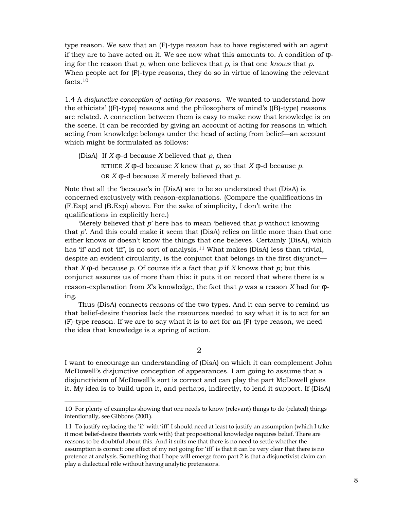type reason. We saw that an (F)-type reason has to have registered with an agent if they are to have acted on it. We see now what this amounts to. A condition of φing for the reason that  $p$ , when one believes that  $p$ , is that one knows that  $p$ . When people act for (F)-type reasons, they do so in virtue of knowing the relevant facts.<sup>10</sup>

1.4 A disjunctive conception of acting for reasons. We wanted to understand how the ethicists' ((F)-type) reasons and the philosophers of mind's ((B)-type) reasons are related. A connection between them is easy to make now that knowledge is on the scene. It can be recorded by giving an account of acting for reasons in which acting from knowledge belongs under the head of acting from belief—an account which might be formulated as follows:

(DisA) If  $X \varphi$ -d because  $X$  believed that  $p$ , then EITHER  $X \varphi$ -d because X knew that p, so that  $X \varphi$ -d because p. OR  $X$   $\varphi$ -d because  $X$  merely believed that  $p$ .

Note that all the 'because's in (DisA) are to be so understood that (DisA) is concerned exclusively with reason-explanations. (Compare the qualifications in (F.Exp) and (B.Exp) above. For the sake of simplicity, I don't write the qualifications in explicitly here.)

'Merely believed that  $p'$  here has to mean 'believed that  $p$  without knowing that  $p'$ . And this could make it seem that (DisA) relies on little more than that one either knows or doesn't know the things that one believes. Certainly (DisA), which has 'if' and not 'iff', is no sort of analysis.<sup>11</sup> What makes (DisA) less than trivial, despite an evident circularity, is the conjunct that belongs in the first disjunct that  $X \varphi$ -d because p. Of course it's a fact that p if X knows that p; but this conjunct assures us of more than this: it puts it on record that where there is a reason-explanation from X's knowledge, the fact that  $p$  was a reason X had for  $\varphi$ ing.

Thus (DisA) connects reasons of the two types. And it can serve to remind us that belief-desire theories lack the resources needed to say what it is to act for an (F)-type reason. If we are to say what it is to act for an (F)-type reason, we need the idea that knowledge is a spring of action.

## 2

I want to encourage an understanding of (DisA) on which it can complement John McDowell's disjunctive conception of appearances. I am going to assume that a disjunctivism of McDowell's sort is correct and can play the part McDowell gives it. My idea is to build upon it, and perhaps, indirectly, to lend it support. If (DisA)

<sup>10</sup> For plenty of examples showing that one needs to know (relevant) things to do (related) things intentionally, see Gibbons (2001).

<sup>11</sup> To justify replacing the 'if' with 'iff' I should need at least to justify an assumption (which I take it most belief-desire theorists work with) that propositional knowledge requires belief. There are reasons to be doubtful about this. And it suits me that there is no need to settle whether the assumption is correct: one effect of my not going for 'iff' is that it can be very clear that there is no pretence at analysis. Something that I hope will emerge from part 2 is that a disjunctivist claim can play a dialectical rôle without having analytic pretensions.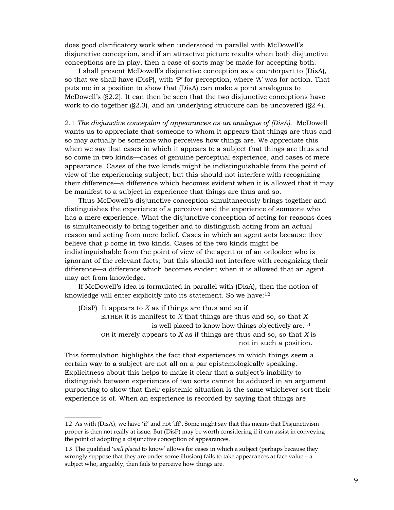does good clarificatory work when understood in parallel with McDowell's disjunctive conception, and if an attractive picture results when both disjunctive conceptions are in play, then a case of sorts may be made for accepting both.

I shall present McDowell's disjunctive conception as a counterpart to (DisA), so that we shall have (DisP), with 'P' for perception, where 'A' was for action. That puts me in a position to show that (DisA) can make a point analogous to McDowell's (§2.2). It can then be seen that the two disjunctive conceptions have work to do together (§2.3), and an underlying structure can be uncovered (§2.4).

2.1 The disjunctive conception of appearances as an analogue of (DisA). McDowell wants us to appreciate that someone to whom it appears that things are thus and so may actually be someone who perceives how things are. We appreciate this when we say that cases in which it appears to a subject that things are thus and so come in two kinds—cases of genuine perceptual experience, and cases of mere appearance. Cases of the two kinds might be indistinguishable from the point of view of the experiencing subject; but this should not interfere with recognizing their difference—a difference which becomes evident when it is allowed that it may be manifest to a subject in experience that things are thus and so.

Thus McDowell's disjunctive conception simultaneously brings together and distinguishes the experience of a perceiver and the experience of someone who has a mere experience. What the disjunctive conception of acting for reasons does is simultaneously to bring together and to distinguish acting from an actual reason and acting from mere belief. Cases in which an agent acts because they believe that p come in two kinds. Cases of the two kinds might be indistinguishable from the point of view of the agent or of an onlooker who is ignorant of the relevant facts; but this should not interfere with recognizing their difference—a difference which becomes evident when it is allowed that an agent may act from knowledge.

If McDowell's idea is formulated in parallel with (DisA), then the notion of knowledge will enter explicitly into its statement. So we have:<sup>12</sup>

(DisP) It appears to X as if things are thus and so if EITHER it is manifest to  $X$  that things are thus and so, so that  $X$  is well placed to know how things objectively are.<sup>13</sup> OR it merely appears to X as if things are thus and so, so that X is not in such a position.

This formulation highlights the fact that experiences in which things seem a certain way to a subject are not all on a par epistemologically speaking. Explicitness about this helps to make it clear that a subject's inability to distinguish between experiences of two sorts cannot be adduced in an argument purporting to show that their epistemic situation is the same whichever sort their experience is of. When an experience is recorded by saying that things are

<sup>12</sup> As with (DisA), we have 'if' and not 'iff'. Some might say that this means that Disjunctivism proper is then not really at issue. But (DisP) may be worth considering if it can assist in conveying the point of adopting a disjunctive conception of appearances.

<sup>13</sup> The qualified 'well placed to know' allows for cases in which a subject (perhaps because they wrongly suppose that they are under some illusion) fails to take appearances at face value—a subject who, arguably, then fails to perceive how things are.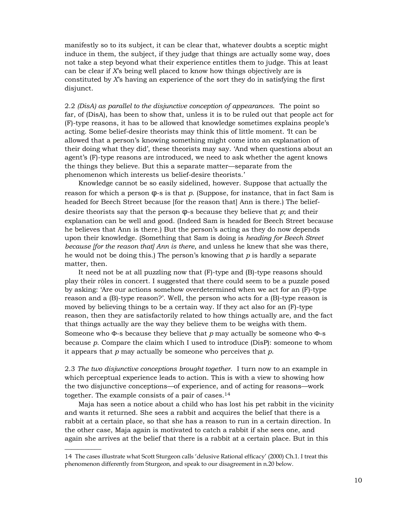manifestly so to its subject, it can be clear that, whatever doubts a sceptic might induce in them, the subject, if they judge that things are actually some way, does not take a step beyond what their experience entitles them to judge. This at least can be clear if X's being well placed to know how things objectively are is constituted by X's having an experience of the sort they do in satisfying the first disjunct.

2.2 (DisA) as parallel to the disjunctive conception of appearances. The point so far, of (DisA), has been to show that, unless it is to be ruled out that people act for (F)-type reasons, it has to be allowed that knowledge sometimes explains people's acting. Some belief-desire theorists may think this of little moment. 'It can be allowed that a person's knowing something might come into an explanation of their doing what they did', these theorists may say. 'And when questions about an agent's (F)-type reasons are introduced, we need to ask whether the agent knows the things they believe. But this a separate matter—separate from the phenomenon which interests us belief-desire theorists.'

Knowledge cannot be so easily sidelined, however. Suppose that actually the reason for which a person  $\varphi$ -s is that p. (Suppose, for instance, that in fact Sam is headed for Beech Street because [for the reason that] Ann is there.) The beliefdesire theorists say that the person  $\varphi$ -s because they believe that p; and their explanation can be well and good. (Indeed Sam is headed for Beech Street because he believes that Ann is there.) But the person's acting as they do now depends upon their knowledge. (Something that Sam is doing is heading for Beech Street because *for the reason that] Ann is there*, and unless he knew that she was there, he would not be doing this.) The person's knowing that  $p$  is hardly a separate matter, then.

It need not be at all puzzling now that (F)-type and (B)-type reasons should play their rôles in concert. I suggested that there could seem to be a puzzle posed by asking: 'Are our actions somehow overdetermined when we act for an (F)-type reason and a (B)-type reason?'. Well, the person who acts for a (B)-type reason is moved by believing things to be a certain way. If they act also for an (F)-type reason, then they are satisfactorily related to how things actually are, and the fact that things actually are the way they believe them to be weighs with them. Someone who  $\Phi$ -s because they believe that p may actually be someone who  $\Phi$ -s because  $p$ . Compare the claim which I used to introduce (DisP): someone to whom it appears that  $p$  may actually be someone who perceives that  $p$ .

2.3 The two disjunctive conceptions brought together. I turn now to an example in which perceptual experience leads to action. This is with a view to showing how the two disjunctive conceptions—of experience, and of acting for reasons—work together. The example consists of a pair of cases.<sup>14</sup>

Maja has seen a notice about a child who has lost his pet rabbit in the vicinity and wants it returned. She sees a rabbit and acquires the belief that there is a rabbit at a certain place, so that she has a reason to run in a certain direction. In the other case, Maja again is motivated to catch a rabbit if she sees one, and again she arrives at the belief that there is a rabbit at a certain place. But in this

<sup>14</sup> The cases illustrate what Scott Sturgeon calls 'delusive Rational efficacy' (2000) Ch.1. I treat this phenomenon differently from Sturgeon, and speak to our disagreement in n.20 below.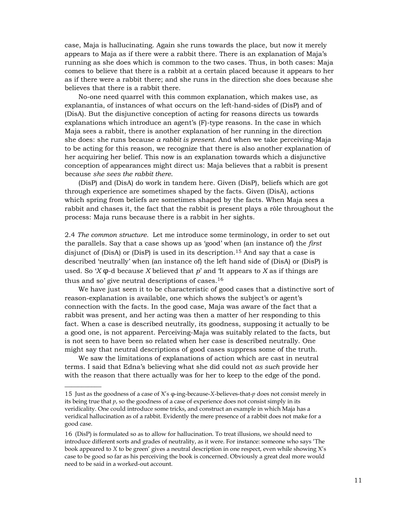case, Maja is hallucinating. Again she runs towards the place, but now it merely appears to Maja as if there were a rabbit there. There is an explanation of Maja's running as she does which is common to the two cases. Thus, in both cases: Maja comes to believe that there is a rabbit at a certain placed because it appears to her as if there were a rabbit there; and she runs in the direction she does because she believes that there is a rabbit there.

No-one need quarrel with this common explanation, which makes use, as explanantia, of instances of what occurs on the left-hand-sides of (DisP) and of (DisA). But the disjunctive conception of acting for reasons directs us towards explanations which introduce an agent's (F)-type reasons. In the case in which Maja sees a rabbit, there is another explanation of her running in the direction she does: she runs because *a rabbit* is *present*. And when we take perceiving-Maja to be acting for this reason, we recognize that there is also another explanation of her acquiring her belief. This now is an explanation towards which a disjunctive conception of appearances might direct us: Maja believes that a rabbit is present because she sees the rabbit there.

(DisP) and (DisA) do work in tandem here. Given (DisP), beliefs which are got through experience are sometimes shaped by the facts. Given (DisA), actions which spring from beliefs are sometimes shaped by the facts. When Maja sees a rabbit and chases it, the fact that the rabbit is present plays a rôle throughout the process: Maja runs because there is a rabbit in her sights.

2.4 The common structure. Let me introduce some terminology, in order to set out the parallels. Say that a case shows up as 'good' when (an instance of) the first disjunct of (DisA) or (DisP) is used in its description.<sup>15</sup> And say that a case is described 'neutrally' when (an instance of) the left hand side of (DisA) or (DisP) is used. So 'X  $\varphi$ -d because X believed that p' and 'It appears to X as if things are thus and so' give neutral descriptions of cases.<sup>16</sup>

We have just seen it to be characteristic of good cases that a distinctive sort of reason-explanation is available, one which shows the subject's or agent's connection with the facts. In the good case, Maja was aware of the fact that a rabbit was present, and her acting was then a matter of her responding to this fact. When a case is described neutrally, its goodness, supposing it actually to be a good one, is not apparent. Perceiving-Maja was suitably related to the facts, but is not seen to have been so related when her case is described neutrally. One might say that neutral descriptions of good cases suppress some of the truth.

We saw the limitations of explanations of action which are cast in neutral terms. I said that Edna's believing what she did could not as such provide her with the reason that there actually was for her to keep to the edge of the pond.

<sup>15</sup> Just as the goodness of a case of X's φ-ing-because-X-believes-that-p does not consist merely in its being true that  $p$ , so the goodness of a case of experience does not consist simply in its veridicality. One could introduce some tricks, and construct an example in which Maja has a veridical hallucination as of a rabbit. Evidently the mere presence of a rabbit does not make for a good case.

<sup>16</sup> (DisP) is formulated so as to allow for hallucination. To treat illusions, we should need to introduce different sorts and grades of neutrality, as it were. For instance: someone who says 'The book appeared to X to be green' gives a neutral description in one respect, even while showing X's case to be good so far as his perceiving the book is concerned. Obviously a great deal more would need to be said in a worked-out account.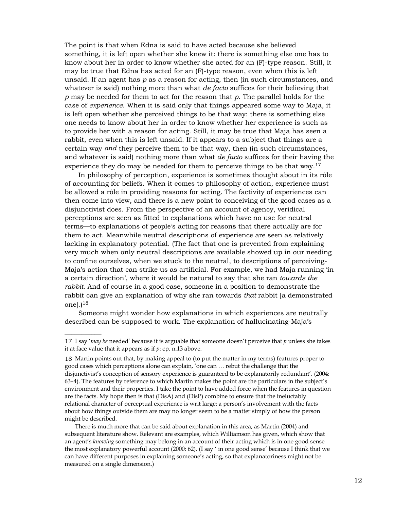The point is that when Edna is said to have acted because she believed something, it is left open whether she knew it: there is something else one has to know about her in order to know whether she acted for an (F)-type reason. Still, it may be true that Edna has acted for an (F)-type reason, even when this is left unsaid. If an agent has  $p$  as a reason for acting, then (in such circumstances, and whatever is said) nothing more than what de facto suffices for their believing that  $p$  may be needed for them to act for the reason that  $p$ . The parallel holds for the case of experience. When it is said only that things appeared some way to Maja, it is left open whether she perceived things to be that way: there is something else one needs to know about her in order to know whether her experience is such as to provide her with a reason for acting. Still, it may be true that Maja has seen a rabbit, even when this is left unsaid. If it appears to a subject that things are a certain way and they perceive them to be that way, then (in such circumstances, and whatever is said) nothing more than what de facto suffices for their having the experience they do may be needed for them to perceive things to be that way.<sup>17</sup>

In philosophy of perception, experience is sometimes thought about in its rôle of accounting for beliefs. When it comes to philosophy of action, experience must be allowed a rôle in providing reasons for acting. The factivity of experiences can then come into view, and there is a new point to conceiving of the good cases as a disjunctivist does. From the perspective of an account of agency, veridical perceptions are seen as fitted to explanations which have no use for neutral terms—to explanations of people's acting for reasons that there actually are for them to act. Meanwhile neutral descriptions of experience are seen as relatively lacking in explanatory potential. (The fact that one is prevented from explaining very much when only neutral descriptions are available showed up in our needing to confine ourselves, when we stuck to the neutral, to descriptions of perceiving-Maja's action that can strike us as artificial. For example, we had Maja running 'in a certain direction', where it would be natural to say that she ran towards the rabbit. And of course in a good case, someone in a position to demonstrate the rabbit can give an explanation of why she ran towards that rabbit [a demonstrated one]. $)$ <sup>18</sup>

Someone might wonder how explanations in which experiences are neutrally described can be supposed to work. The explanation of hallucinating-Maja's

 $\overline{\phantom{a}}$ 

<sup>17</sup> I say 'may be needed' because it is arguable that someone doesn't perceive that  $p$  unless she takes it at face value that it appears as if  $p$ : cp. n.13 above.

<sup>18</sup> Martin points out that, by making appeal to (to put the matter in my terms) features proper to good cases which perceptions alone can explain, 'one can … rebut the challenge that the disjunctivist's conception of sensory experience is guaranteed to be explanatorily redundant'. (2004: 63–4). The features by reference to which Martin makes the point are the particulars in the subject's environment and their properties. I take the point to have added force when the features in question are the facts. My hope then is that (DisA) and (DisP) combine to ensure that the ineluctably relational character of perceptual experience is writ large: a person's involvement with the facts about how things outside them are may no longer seem to be a matter simply of how the person might be described.

There is much more that can be said about explanation in this area, as Martin (2004) and subsequent literature show. Relevant are examples, which Williamson has given, which show that an agent's knowing something may belong in an account of their acting which is in one good sense the most explanatory powerful account (2000: 62). (I say ' in one good sense' because I think that we can have different purposes in explaining someone's acting, so that explanatoriness might not be measured on a single dimension.)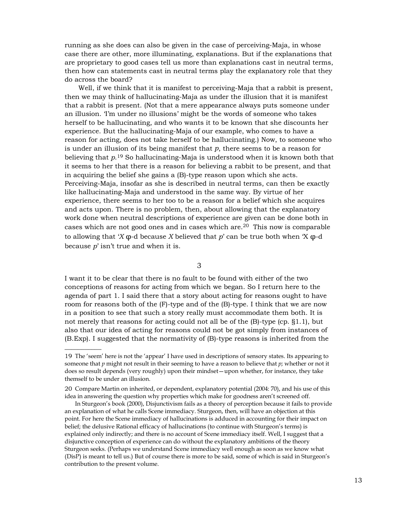running as she does can also be given in the case of perceiving-Maja, in whose case there are other, more illuminating, explanations. But if the explanations that are proprietary to good cases tell us more than explanations cast in neutral terms, then how can statements cast in neutral terms play the explanatory role that they do across the board?

Well, if we think that it is manifest to perceiving-Maja that a rabbit is present, then we may think of hallucinating-Maja as under the illusion that it is manifest that a rabbit is present. (Not that a mere appearance always puts someone under an illusion. 'I'm under no illusions' might be the words of someone who takes herself to be hallucinating, and who wants it to be known that she discounts her experience. But the hallucinating-Maja of our example, who comes to have a reason for acting, does not take herself to be hallucinating.) Now, to someone who is under an illusion of its being manifest that  $p$ , there seems to be a reason for believing that  $p^{19}$  So hallucinating-Maja is understood when it is known both that it seems to her that there is a reason for believing a rabbit to be present, and that in acquiring the belief she gains a (B)-type reason upon which she acts. Perceiving-Maja, insofar as she is described in neutral terms, can then be exactly like hallucinating-Maja and understood in the same way. By virtue of her experience, there seems to her too to be a reason for a belief which she acquires and acts upon. There is no problem, then, about allowing that the explanatory work done when neutral descriptions of experience are given can be done both in cases which are not good ones and in cases which are.20 This now is comparable to allowing that 'X  $\varphi$ -d because X believed that p' can be true both when 'X  $\varphi$ -d because p' isn't true and when it is.

3

I want it to be clear that there is no fault to be found with either of the two conceptions of reasons for acting from which we began. So I return here to the agenda of part 1. I said there that a story about acting for reasons ought to have room for reasons both of the (F)-type and of the (B)-type. I think that we are now in a position to see that such a story really must accommodate them both. It is not merely that reasons for acting could not all be of the (B)-type (cp. §1.1), but also that our idea of acting for reasons could not be got simply from instances of (B.Exp). I suggested that the normativity of (B)-type reasons is inherited from the

<sup>19</sup> The 'seem' here is not the 'appear' I have used in descriptions of sensory states. Its appearing to someone that  $p$  might not result in their seeming to have a reason to believe that  $p$ ; whether or not it does so result depends (very roughly) upon their mindset—upon whether, for instance, they take themself to be under an illusion.

<sup>20</sup> Compare Martin on inherited, or dependent, explanatory potential (2004: 70), and his use of this idea in answering the question why properties which make for goodness aren't screened off.

In Sturgeon's book (2000), Disjunctivism fails as a theory of perception because it fails to provide an explanation of what he calls Scene immediacy. Sturgeon, then, will have an objection at this point. For here the Scene immediacy of hallucinations is adduced in accounting for their impact on belief; the delusive Rational efficacy of hallucinations (to continue with Sturgeon's terms) is explained only indirectly; and there is no account of Scene immediacy itself. Well, I suggest that a disjunctive conception of experience can do without the explanatory ambitions of the theory Sturgeon seeks. (Perhaps we understand Scene immediacy well enough as soon as we know what (DisP) is meant to tell us.) But of course there is more to be said, some of which is said in Sturgeon's contribution to the present volume.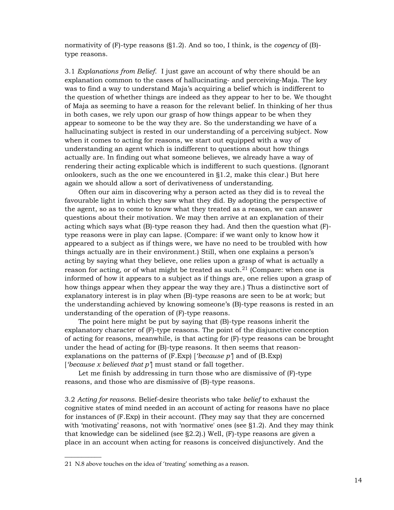normativity of  $(F)$ -type reasons  $(S1.2)$ . And so too, I think, is the *cogency* of  $(B)$ type reasons.

3.1 Explanations from Belief. I just gave an account of why there should be an explanation common to the cases of hallucinating- and perceiving-Maja. The key was to find a way to understand Maja's acquiring a belief which is indifferent to the question of whether things are indeed as they appear to her to be. We thought of Maja as seeming to have a reason for the relevant belief. In thinking of her thus in both cases, we rely upon our grasp of how things appear to be when they appear to someone to be the way they are. So the understanding we have of a hallucinating subject is rested in our understanding of a perceiving subject. Now when it comes to acting for reasons, we start out equipped with a way of understanding an agent which is indifferent to questions about how things actually are. In finding out what someone believes, we already have a way of rendering their acting explicable which is indifferent to such questions. (Ignorant onlookers, such as the one we encountered in §1.2, make this clear.) But here again we should allow a sort of derivativeness of understanding.

Often our aim in discovering why a person acted as they did is to reveal the favourable light in which they saw what they did. By adopting the perspective of the agent, so as to come to know what they treated as a reason, we can answer questions about their motivation. We may then arrive at an explanation of their acting which says what (B)-type reason they had. And then the question what (F) type reasons were in play can lapse. (Compare: if we want only to know how it appeared to a subject as if things were, we have no need to be troubled with how things actually are in their environment.) Still, when one explains a person's acting by saying what they believe, one relies upon a grasp of what is actually a reason for acting, or of what might be treated as such.21 (Compare: when one is informed of how it appears to a subject as if things are, one relies upon a grasp of how things appear when they appear the way they are.) Thus a distinctive sort of explanatory interest is in play when (B)-type reasons are seen to be at work; but the understanding achieved by knowing someone's (B)-type reasons is rested in an understanding of the operation of (F)-type reasons.

The point here might be put by saying that (B)-type reasons inherit the explanatory character of (F)-type reasons. The point of the disjunctive conception of acting for reasons, meanwhile, is that acting for (F)-type reasons can be brought under the head of acting for (B)-type reasons. It then seems that reasonexplanations on the patterns of  $(F.Exp)$  ['because p'] and of  $(B.Exp)$ ['because x believed that  $p$ '] must stand or fall together.

Let me finish by addressing in turn those who are dismissive of (F)-type reasons, and those who are dismissive of (B)-type reasons.

3.2 Acting for reasons. Belief-desire theorists who take belief to exhaust the cognitive states of mind needed in an account of acting for reasons have no place for instances of (F.Exp) in their account. (They may say that they are concerned with 'motivating' reasons, not with 'normative' ones (see §1.2). And they may think that knowledge can be sidelined (see §2.2).) Well, (F)-type reasons are given a place in an account when acting for reasons is conceived disjunctively. And the

<sup>21</sup> N.8 above touches on the idea of 'treating' something as a reason.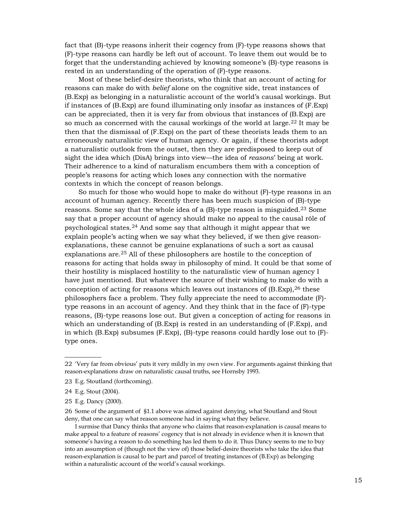fact that (B)-type reasons inherit their cogency from (F)-type reasons shows that (F)-type reasons can hardly be left out of account. To leave them out would be to forget that the understanding achieved by knowing someone's (B)-type reasons is rested in an understanding of the operation of (F)-type reasons.

Most of these belief-desire theorists, who think that an account of acting for reasons can make do with belief alone on the cognitive side, treat instances of (B.Exp) as belonging in a naturalistic account of the world's causal workings. But if instances of (B.Exp) are found illuminating only insofar as instances of (F.Exp) can be appreciated, then it is very far from obvious that instances of (B.Exp) are so much as concerned with the causal workings of the world at large.<sup>22</sup> It may be then that the dismissal of (F.Exp) on the part of these theorists leads them to an erroneously naturalistic view of human agency. Or again, if these theorists adopt a naturalistic outlook from the outset, then they are predisposed to keep out of sight the idea which (DisA) brings into view—the idea of reasons' being at work. Their adherence to a kind of naturalism encumbers them with a conception of people's reasons for acting which loses any connection with the normative contexts in which the concept of reason belongs.

So much for those who would hope to make do without (F)-type reasons in an account of human agency. Recently there has been much suspicion of (B)-type reasons. Some say that the whole idea of a (B)-type reason is misguided.23 Some say that a proper account of agency should make no appeal to the causal rôle of psychological states.24 And some say that although it might appear that we explain people's acting when we say what they believed, if we then give reasonexplanations, these cannot be genuine explanations of such a sort as causal explanations are.25 All of these philosophers are hostile to the conception of reasons for acting that holds sway in philosophy of mind. It could be that some of their hostility is misplaced hostility to the naturalistic view of human agency I have just mentioned. But whatever the source of their wishing to make do with a conception of acting for reasons which leaves out instances of  $(B. Exp)$ , <sup>26</sup> these philosophers face a problem. They fully appreciate the need to accommodate (F) type reasons in an account of agency. And they think that in the face of (F)-type reasons, (B)-type reasons lose out. But given a conception of acting for reasons in which an understanding of (B.Exp) is rested in an understanding of (F.Exp), and in which (B.Exp) subsumes (F.Exp), (B)-type reasons could hardly lose out to (F) type ones.

<sup>22</sup> 'Very far from obvious' puts it very mildly in my own view. For arguments against thinking that reason-explanations draw on naturalistic causal truths, see Hornsby 1993.

<sup>23</sup> E.g. Stoutland (forthcoming).

<sup>24</sup> E.g. Stout (2004).

<sup>25</sup> E.g. Dancy (2000).

<sup>26</sup> Some of the argument of §1.1 above was aimed against denying, what Stoutland and Stout deny, that one can say what reason someone had in saying what they believe.

I surmise that Dancy thinks that anyone who claims that reason-explanation is causal means to make appeal to a feature of reasons' cogency that is not already in evidence when it is known that someone's having a reason to do something has led them to do it. Thus Dancy seems to me to buy into an assumption of (though not the view of) those belief-desire theorists who take the idea that reason-explanation is causal to be part and parcel of treating instances of (B.Exp) as belonging within a naturalistic account of the world's causal workings.